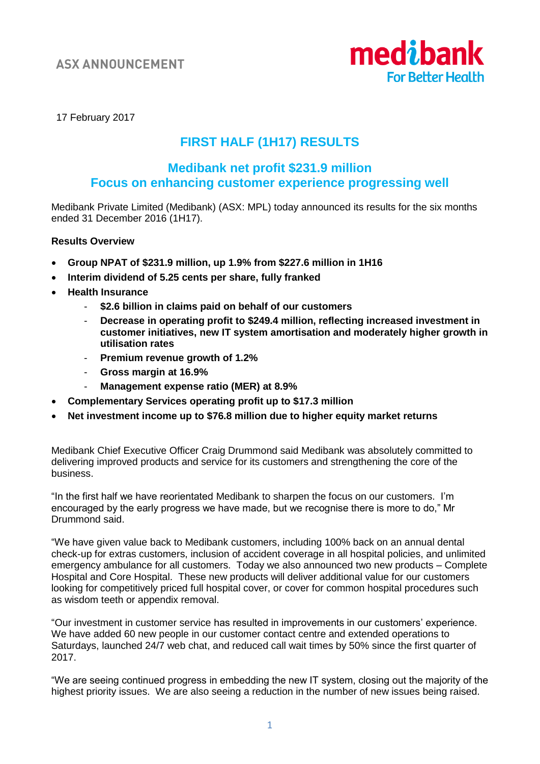

17 February 2017

# **FIRST HALF (1H17) RESULTS**

# **Medibank net profit \$231.9 million Focus on enhancing customer experience progressing well**

Medibank Private Limited (Medibank) (ASX: MPL) today announced its results for the six months ended 31 December 2016 (1H17).

# **Results Overview**

- **Group NPAT of \$231.9 million, up 1.9% from \$227.6 million in 1H16**
- **Interim dividend of 5.25 cents per share, fully franked**
- **Health Insurance**
	- **\$2.6 billion in claims paid on behalf of our customers**
	- **Decrease in operating profit to \$249.4 million, reflecting increased investment in customer initiatives, new IT system amortisation and moderately higher growth in utilisation rates**
	- **Premium revenue growth of 1.2%**
	- **Gross margin at 16.9%**
	- **Management expense ratio (MER) at 8.9%**
- **Complementary Services operating profit up to \$17.3 million**
- **Net investment income up to \$76.8 million due to higher equity market returns**

Medibank Chief Executive Officer Craig Drummond said Medibank was absolutely committed to delivering improved products and service for its customers and strengthening the core of the business.

"In the first half we have reorientated Medibank to sharpen the focus on our customers. I'm encouraged by the early progress we have made, but we recognise there is more to do," Mr Drummond said.

"We have given value back to Medibank customers, including 100% back on an annual dental check-up for extras customers, inclusion of accident coverage in all hospital policies, and unlimited emergency ambulance for all customers. Today we also announced two new products – Complete Hospital and Core Hospital. These new products will deliver additional value for our customers looking for competitively priced full hospital cover, or cover for common hospital procedures such as wisdom teeth or appendix removal.

"Our investment in customer service has resulted in improvements in our customers' experience. We have added 60 new people in our customer contact centre and extended operations to Saturdays, launched 24/7 web chat, and reduced call wait times by 50% since the first quarter of 2017.

"We are seeing continued progress in embedding the new IT system, closing out the majority of the highest priority issues. We are also seeing a reduction in the number of new issues being raised.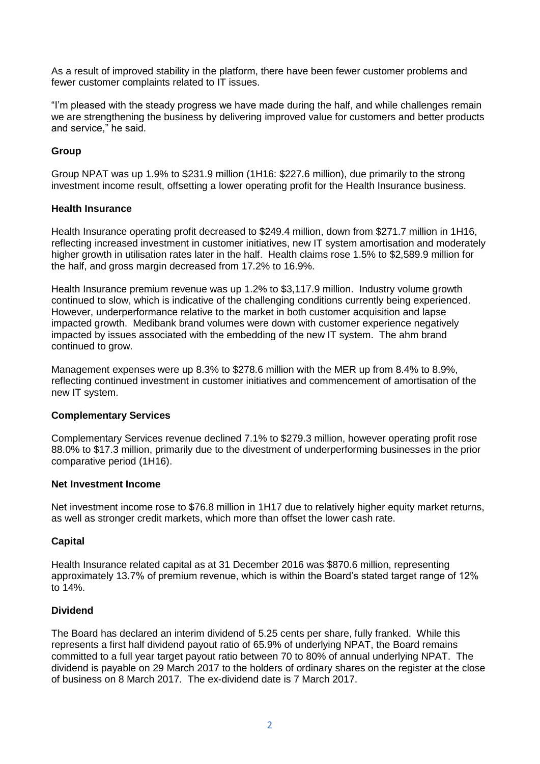As a result of improved stability in the platform, there have been fewer customer problems and fewer customer complaints related to IT issues.

"I'm pleased with the steady progress we have made during the half, and while challenges remain we are strengthening the business by delivering improved value for customers and better products and service," he said.

# **Group**

Group NPAT was up 1.9% to \$231.9 million (1H16: \$227.6 million), due primarily to the strong investment income result, offsetting a lower operating profit for the Health Insurance business.

# **Health Insurance**

Health Insurance operating profit decreased to \$249.4 million, down from \$271.7 million in 1H16, reflecting increased investment in customer initiatives, new IT system amortisation and moderately higher growth in utilisation rates later in the half. Health claims rose 1.5% to \$2,589.9 million for the half, and gross margin decreased from 17.2% to 16.9%.

Health Insurance premium revenue was up 1.2% to \$3,117.9 million. Industry volume growth continued to slow, which is indicative of the challenging conditions currently being experienced. However, underperformance relative to the market in both customer acquisition and lapse impacted growth. Medibank brand volumes were down with customer experience negatively impacted by issues associated with the embedding of the new IT system. The ahm brand continued to grow.

Management expenses were up 8.3% to \$278.6 million with the MER up from 8.4% to 8.9%, reflecting continued investment in customer initiatives and commencement of amortisation of the new IT system.

# **Complementary Services**

Complementary Services revenue declined 7.1% to \$279.3 million, however operating profit rose 88.0% to \$17.3 million, primarily due to the divestment of underperforming businesses in the prior comparative period (1H16).

#### **Net Investment Income**

Net investment income rose to \$76.8 million in 1H17 due to relatively higher equity market returns, as well as stronger credit markets, which more than offset the lower cash rate.

# **Capital**

Health Insurance related capital as at 31 December 2016 was \$870.6 million, representing approximately 13.7% of premium revenue, which is within the Board's stated target range of 12% to 14%.

#### **Dividend**

The Board has declared an interim dividend of 5.25 cents per share, fully franked. While this represents a first half dividend payout ratio of 65.9% of underlying NPAT, the Board remains committed to a full year target payout ratio between 70 to 80% of annual underlying NPAT. The dividend is payable on 29 March 2017 to the holders of ordinary shares on the register at the close of business on 8 March 2017. The ex-dividend date is 7 March 2017.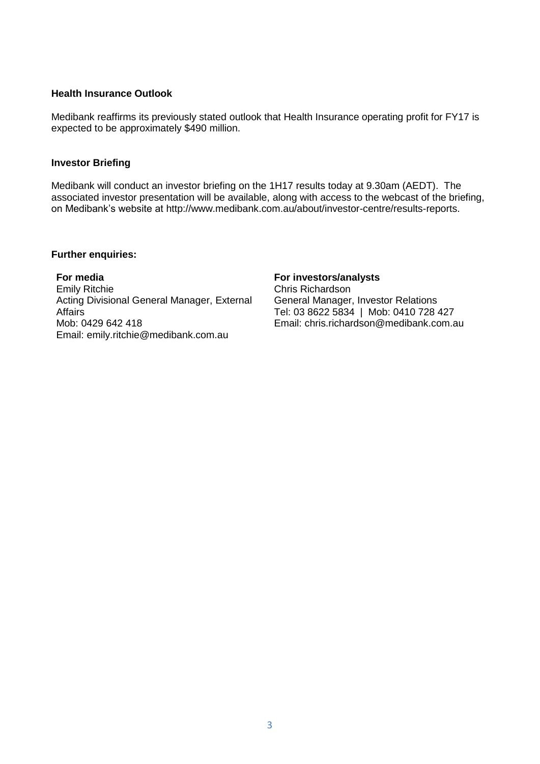#### **Health Insurance Outlook**

Medibank reaffirms its previously stated outlook that Health Insurance operating profit for FY17 is expected to be approximately \$490 million.

### **Investor Briefing**

Medibank will conduct an investor briefing on the 1H17 results today at 9.30am (AEDT). The associated investor presentation will be available, along with access to the webcast of the briefing, on Medibank's website at [http://www.medibank.com.au/about/investor-centre/results-reports.](http://www.medibank.com.au/about/investor-centre/results-reports)

#### **Further enquiries:**

**For media** Emily Ritchie Acting Divisional General Manager, External Affairs Mob: 0429 642 418 Email: emily.ritchie@medibank.com.au

# **For investors/analysts**

Chris Richardson General Manager, Investor Relations Tel: 03 8622 5834 | Mob: 0410 728 427 Email: chris.richardson@medibank.com.au